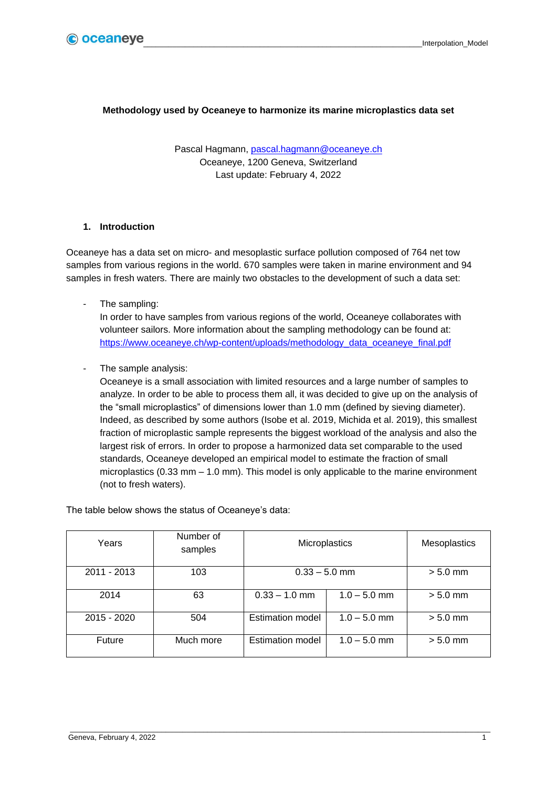## **Methodology used by Oceaneye to harmonize its marine microplastics data set**

Pascal Hagmann, [pascal.hagmann@oceaneye.ch](mailto:pascal.hagmann@oceaneye.ch) Oceaneye, 1200 Geneva, Switzerland Last update: February 4, 2022

## **1. Introduction**

Oceaneye has a data set on micro- and mesoplastic surface pollution composed of 764 net tow samples from various regions in the world. 670 samples were taken in marine environment and 94 samples in fresh waters. There are mainly two obstacles to the development of such a data set:

The sampling:

In order to have samples from various regions of the world, Oceaneye collaborates with volunteer sailors. More information about the sampling methodology can be found at: [https://www.oceaneye.ch/wp-content/uploads/methodology\\_data\\_oceaneye\\_final.pdf](https://www.oceaneye.ch/wp-content/uploads/methodology_data_oceaneye_final.pdf)

The sample analysis:

Oceaneye is a small association with limited resources and a large number of samples to analyze. In order to be able to process them all, it was decided to give up on the analysis of the "small microplastics" of dimensions lower than 1.0 mm (defined by sieving diameter). Indeed, as described by some authors (Isobe et al. 2019, Michida et al. 2019), this smallest fraction of microplastic sample represents the biggest workload of the analysis and also the largest risk of errors. In order to propose a harmonized data set comparable to the used standards, Oceaneye developed an empirical model to estimate the fraction of small microplastics (0.33 mm – 1.0 mm). This model is only applicable to the marine environment (not to fresh waters).

The table below shows the status of Oceaneye's data:

| Years       | Number of<br>samples | Microplastics                             |                | Mesoplastics |
|-------------|----------------------|-------------------------------------------|----------------|--------------|
| 2011 - 2013 | 103                  | $0.33 - 5.0$ mm                           |                | $> 5.0$ mm   |
| 2014        | 63                   | $0.33 - 1.0$ mm                           | $1.0 - 5.0$ mm | $> 5.0$ mm   |
| 2015 - 2020 | 504                  | <b>Estimation model</b><br>$1.0 - 5.0$ mm |                | $> 5.0$ mm   |
| Future      | Much more            | <b>Estimation model</b>                   | $1.0 - 5.0$ mm | $> 5.0$ mm   |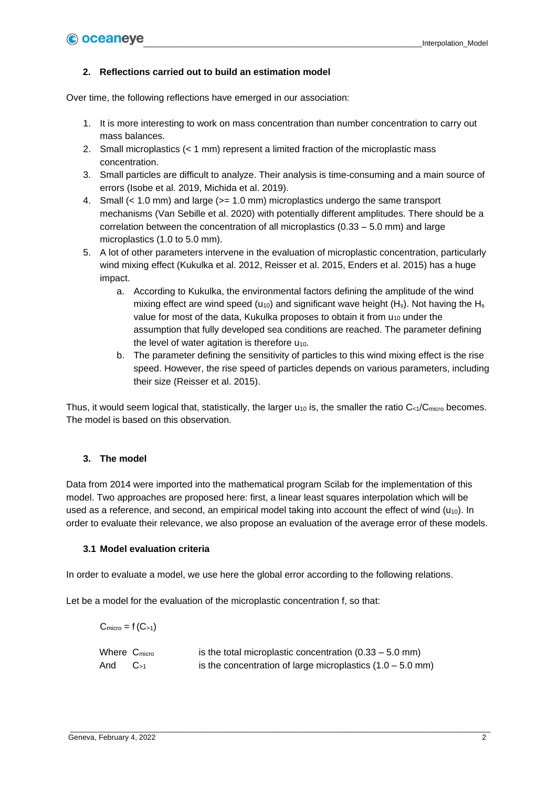### **2. Reflections carried out to build an estimation model**

Over time, the following reflections have emerged in our association:

- 1. It is more interesting to work on mass concentration than number concentration to carry out mass balances.
- 2. Small microplastics (< 1 mm) represent a limited fraction of the microplastic mass concentration.
- 3. Small particles are difficult to analyze. Their analysis is time-consuming and a main source of errors (Isobe et al. 2019, Michida et al. 2019).
- 4. Small (< 1.0 mm) and large (>= 1.0 mm) microplastics undergo the same transport mechanisms (Van Sebille et al. 2020) with potentially different amplitudes. There should be a correlation between the concentration of all microplastics (0.33 – 5.0 mm) and large microplastics (1.0 to 5.0 mm).
- 5. A lot of other parameters intervene in the evaluation of microplastic concentration, particularly wind mixing effect (Kukulka et al. 2012, Reisser et al. 2015, Enders et al. 2015) has a huge impact.
	- a. According to Kukulka, the environmental factors defining the amplitude of the wind mixing effect are wind speed ( $u_{10}$ ) and significant wave height (H<sub>s</sub>). Not having the H<sub>s</sub> value for most of the data, Kukulka proposes to obtain it from  $u_{10}$  under the assumption that fully developed sea conditions are reached. The parameter defining the level of water agitation is therefore  $u_{10}$ .
	- b. The parameter defining the sensitivity of particles to this wind mixing effect is the rise speed. However, the rise speed of particles depends on various parameters, including their size (Reisser et al. 2015).

Thus, it would seem logical that, statistically, the larger  $u_{10}$  is, the smaller the ratio C<sub><1</sub>/C<sub>micro</sub> becomes. The model is based on this observation.

#### **3. The model**

Data from 2014 were imported into the mathematical program Scilab for the implementation of this model. Two approaches are proposed here: first, a linear least squares interpolation which will be used as a reference, and second, an empirical model taking into account the effect of wind  $(u_{10})$ . In order to evaluate their relevance, we also propose an evaluation of the average error of these models.

#### **3.1 Model evaluation criteria**

In order to evaluate a model, we use here the global error according to the following relations.

Let be a model for the evaluation of the microplastic concentration f, so that:

| $C_{micro} = f(C_{>1})$  |          |                                                                      |
|--------------------------|----------|----------------------------------------------------------------------|
| Where C <sub>micro</sub> |          | is the total microplastic concentration $(0.33 - 5.0 \text{ mm})$    |
| And                      | $C_{>1}$ | is the concentration of large microplastics $(1.0 - 5.0 \text{ mm})$ |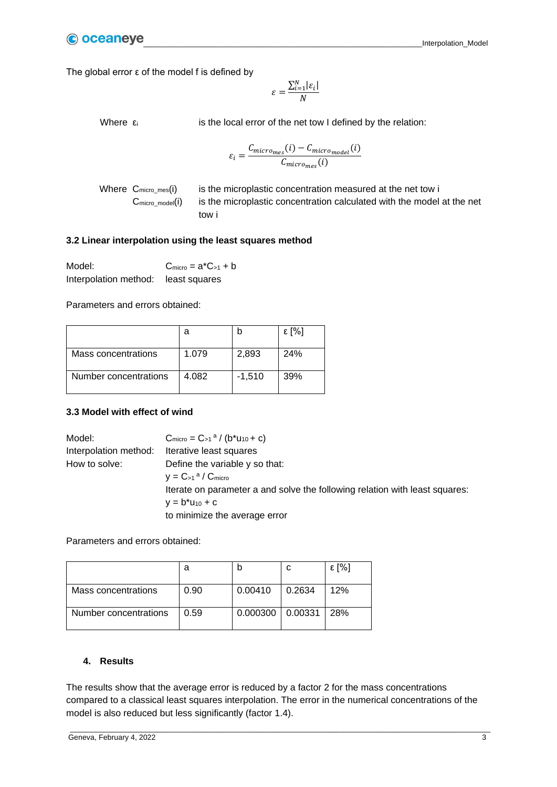The global error ε of the model f is defined by

$$
\varepsilon = \frac{\sum_{i=1}^{N} |\varepsilon_i|}{N}
$$

Where  $\varepsilon_i$  is the local error of the net tow I defined by the relation:

$$
\varepsilon_i = \frac{C_{micro_{mes}(i) - C_{micro_{model}}(i)}}{C_{micro_{mes}(i)}}
$$

Where  $C_{micro\_mes}(i)$  is the microplastic concentration measured at the net tow i C<sub>micro model</sub>(i) is the microplastic concentration calculated with the model at the net tow i

#### **3.2 Linear interpolation using the least squares method**

| Model:                              | $C_{micro} = a^*C_{>1} + b$ |
|-------------------------------------|-----------------------------|
| Interpolation method: least squares |                             |

Parameters and errors obtained:

|                       | а     |          | ε [%] |
|-----------------------|-------|----------|-------|
| Mass concentrations   | 1.079 | 2,893    | 24%   |
| Number concentrations | 4.082 | $-1,510$ | 39%   |

#### **3.3 Model with effect of wind**

| Model:                | $C_{micro} = C_{>1}^{\alpha} / (b^*u_{10} + c)$                             |
|-----------------------|-----------------------------------------------------------------------------|
| Interpolation method: | Iterative least squares                                                     |
| How to solve:         | Define the variable y so that:                                              |
|                       | $y = C_{>1}$ <sup>a</sup> / $C_{micro}$                                     |
|                       | Iterate on parameter a and solve the following relation with least squares: |
|                       | $y = b^*u_{10} + c$                                                         |
|                       | to minimize the average error                                               |

Parameters and errors obtained:

|                       | а    |                      |        | ε [%] |
|-----------------------|------|----------------------|--------|-------|
| Mass concentrations   | 0.90 | 0.00410              | 0.2634 | 12%   |
| Number concentrations | 0.59 | $0.000300$   0.00331 |        | 28%   |

#### **4. Results**

The results show that the average error is reduced by a factor 2 for the mass concentrations compared to a classical least squares interpolation. The error in the numerical concentrations of the model is also reduced but less significantly (factor 1.4).

\_\_\_\_\_\_\_\_\_\_\_\_\_\_\_\_\_\_\_\_\_\_\_\_\_\_\_\_\_\_\_\_\_\_\_\_\_\_\_\_\_\_\_\_\_\_\_\_\_\_\_\_\_\_\_\_\_\_\_\_\_\_\_\_\_\_\_\_\_\_\_\_\_\_\_\_\_\_\_\_\_\_\_\_\_\_\_\_\_\_\_\_\_\_\_\_\_\_\_\_\_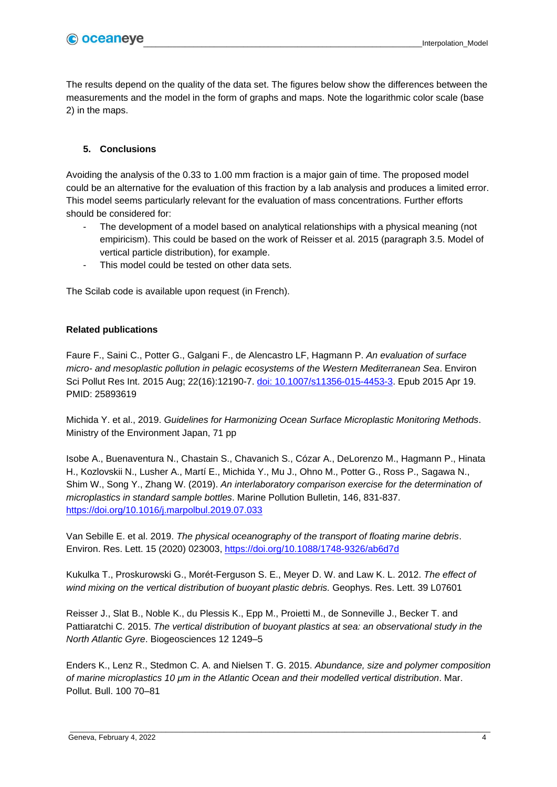The results depend on the quality of the data set. The figures below show the differences between the measurements and the model in the form of graphs and maps. Note the logarithmic color scale (base 2) in the maps.

# **5. Conclusions**

Avoiding the analysis of the 0.33 to 1.00 mm fraction is a major gain of time. The proposed model could be an alternative for the evaluation of this fraction by a lab analysis and produces a limited error. This model seems particularly relevant for the evaluation of mass concentrations. Further efforts should be considered for:

- The development of a model based on analytical relationships with a physical meaning (not empiricism). This could be based on the work of Reisser et al. 2015 (paragraph 3.5. Model of vertical particle distribution), for example.
- This model could be tested on other data sets.

The Scilab code is available upon request (in French).

## **Related publications**

Faure F., Saini C., Potter G., Galgani F., de Alencastro LF, Hagmann P. *An evaluation of surface micro- and mesoplastic pollution in pelagic ecosystems of the Western Mediterranean Sea*. Environ Sci Pollut Res Int. 2015 Aug; 22(16):12190-7. [doi: 10.1007/s11356-015-4453-3.](https://link.springer.com/article/10.1007/s11356-015-4453-3) Epub 2015 Apr 19. PMID: 25893619

Michida Y. et al., 2019. *Guidelines for Harmonizing Ocean Surface Microplastic Monitoring Methods*. Ministry of the Environment Japan, 71 pp

Isobe A., Buenaventura N., Chastain S., Chavanich S., Cózar A., DeLorenzo M., Hagmann P., Hinata H., Kozlovskii N., Lusher A., Martí E., Michida Y., Mu J., Ohno M., Potter G., Ross P., Sagawa N., Shim W., Song Y., Zhang W. (2019). *An interlaboratory comparison exercise for the determination of microplastics in standard sample bottles*. Marine Pollution Bulletin, 146, 831-837. <https://doi.org/10.1016/j.marpolbul.2019.07.033>

Van Sebille E. et al. 2019. *The physical oceanography of the transport of floating marine debris*. Environ. Res. Lett. 15 (2020) 023003, <https://doi.org/10.1088/1748-9326/ab6d7d>

Kukulka T., Proskurowski G., Morét-Ferguson S. E., Meyer D. W. and Law K. L. 2012. *The effect of wind mixing on the vertical distribution of buoyant plastic debris.* Geophys. Res. Lett. 39 L07601

Reisser J., Slat B., Noble K., du Plessis K., Epp M., Proietti M., de Sonneville J., Becker T. and Pattiaratchi C. 2015. *The vertical distribution of buoyant plastics at sea: an observational study in the North Atlantic Gyre*. Biogeosciences 12 1249–5

Enders K., Lenz R., Stedmon C. A. and Nielsen T. G. 2015. *Abundance, size and polymer composition of marine microplastics 10 μm in the Atlantic Ocean and their modelled vertical distribution*. Mar. Pollut. Bull. 100 70–81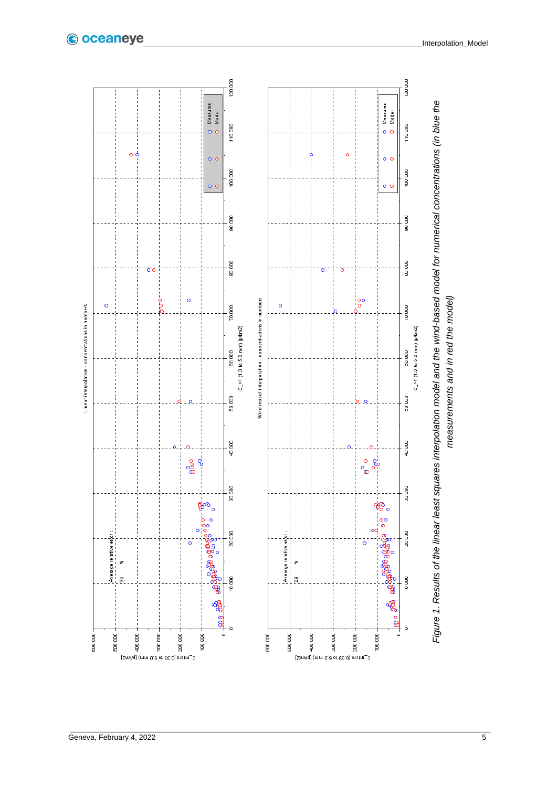

\_\_\_\_\_\_\_\_\_\_\_\_\_\_\_\_\_\_\_\_\_\_\_\_\_\_\_\_\_\_\_\_\_\_\_\_\_\_\_\_\_\_\_\_\_\_\_\_\_\_\_\_\_\_\_\_\_\_\_\_\_\_\_\_\_\_\_\_\_\_\_\_\_\_\_\_\_\_\_\_\_\_\_\_\_\_\_\_\_\_\_\_\_\_\_\_\_\_\_\_\_

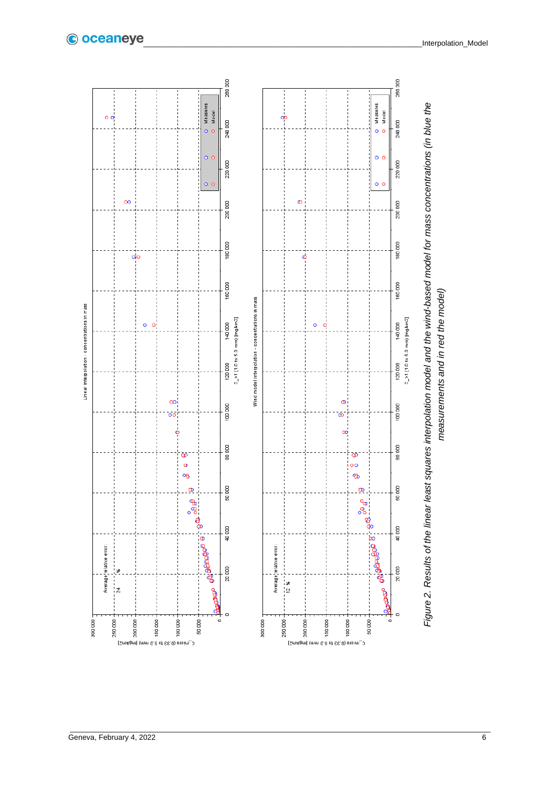